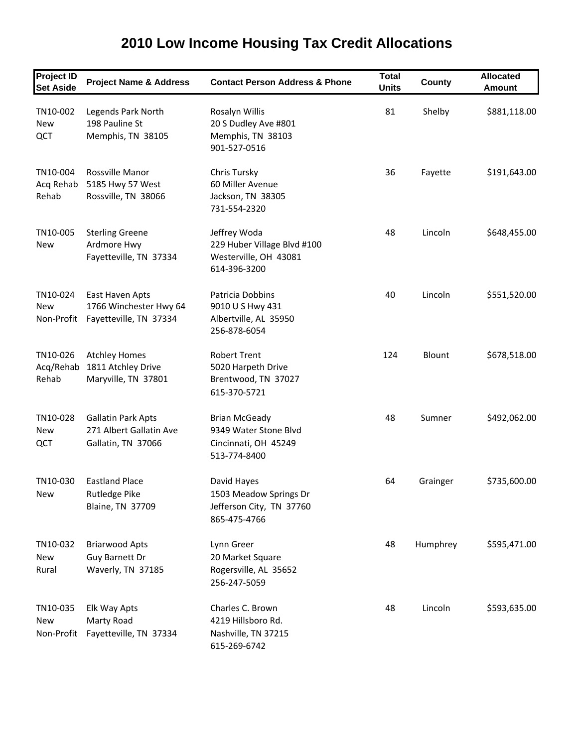## **Project ID Set Aside Project Name & Address Contact Person Address & Phone Total Units County Allocated Amount** TN10‐002 Legends Park North Rosalyn Willis 81 Shelby \$881,118.00 New 198 Pauline St 20 S Dudley Ave #801 QCT Memphis, TN 38105 Memphis, TN 38103 901‐527‐0516 TN10‐004 Rossville Manor Chris Tursky 36 Fayette \$191,643.00 Acq Rehab 5185 Hwy 57 West 60 Miller Avenue Rehab Rossville, TN 38066 Jackson, TN 38305 731‐554‐2320 TN10-005 Sterling Greene Jeffrey Woda 18 Lincoln \$648,455.00 New Ardmore Hwy 229 Huber Village Blvd #100 Fayetteville, TN 37334 Westerville, OH 43081 614‐396‐3200 TN10‐024 East Haven Apts Patricia Dobbins 40 Lincoln \$551,520.00 New 1766 Winchester Hwy 64 9010 U S Hwy 431 Non‐Profit Fayetteville, TN 37334 Albertville, AL 35950 256‐878‐6054 TN10-026 Atchley Homes Robert Trent 124 Blount \$678,518.00 Acq/Rehab 1811 Atchley Drive 5020 Harpeth Drive Rehab Maryville, TN 37801 Brentwood, TN 37027 615‐370‐5721 TN10-028 Gallatin Park Apts Brian McGeady 18 Apr and 48 Sumner \$492,062.00 New 271 Albert Gallatin Ave 9349 Water Stone Blvd QCT Gallatin, TN 37066 Cincinnati, OH 45249 513‐774‐8400 TN10‐030 Eastland Place David Hayes 64 Grainger \$735,600.00 New Rutledge Pike 1503 Meadow Springs Dr Blaine, TN 37709 Jefferson City, TN 37760 865‐475‐4766 TN10-032 Briarwood Apts Lynn Greer Charles Assessment Charles Assessment Charles Assessment Assessment Charles New Guy Barnett Dr 20 Market Square Rural Waverly, TN 37185 Rogersville, AL 35652 256‐247‐5059

## **2010 Low Income Housing Tax Credit Allocations**

TN10-035 Elk Way Apts Charles C. Brown 18 18 Lincoln \$593,635.00 New Marty Road 4219 Hillsboro Rd. Non‐Profit Fayetteville, TN 37334 Nashville, TN 37215 615‐269‐6742